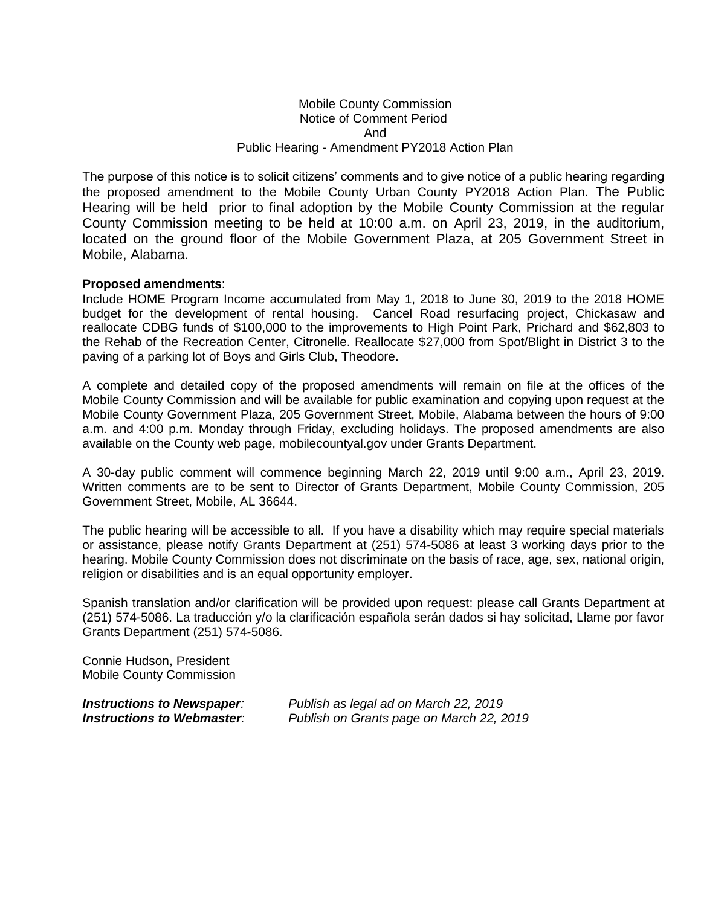## Mobile County Commission Notice of Comment Period And Public Hearing - Amendment PY2018 Action Plan

The purpose of this notice is to solicit citizens' comments and to give notice of a public hearing regarding the proposed amendment to the Mobile County Urban County PY2018 Action Plan. The Public Hearing will be held prior to final adoption by the Mobile County Commission at the regular County Commission meeting to be held at 10:00 a.m. on April 23, 2019, in the auditorium, located on the ground floor of the Mobile Government Plaza, at 205 Government Street in Mobile, Alabama.

## **Proposed amendments**:

Include HOME Program Income accumulated from May 1, 2018 to June 30, 2019 to the 2018 HOME budget for the development of rental housing. Cancel Road resurfacing project, Chickasaw and reallocate CDBG funds of \$100,000 to the improvements to High Point Park, Prichard and \$62,803 to the Rehab of the Recreation Center, Citronelle. Reallocate \$27,000 from Spot/Blight in District 3 to the paving of a parking lot of Boys and Girls Club, Theodore.

A complete and detailed copy of the proposed amendments will remain on file at the offices of the Mobile County Commission and will be available for public examination and copying upon request at the Mobile County Government Plaza, 205 Government Street, Mobile, Alabama between the hours of 9:00 a.m. and 4:00 p.m. Monday through Friday, excluding holidays. The proposed amendments are also available on the County web page, mobilecountyal.gov under Grants Department.

A 30-day public comment will commence beginning March 22, 2019 until 9:00 a.m., April 23, 2019. Written comments are to be sent to Director of Grants Department, Mobile County Commission, 205 Government Street, Mobile, AL 36644.

The public hearing will be accessible to all. If you have a disability which may require special materials or assistance, please notify Grants Department at (251) 574-5086 at least 3 working days prior to the hearing. Mobile County Commission does not discriminate on the basis of race, age, sex, national origin, religion or disabilities and is an equal opportunity employer.

Spanish translation and/or clarification will be provided upon request: please call Grants Department at (251) 574-5086. La traducción y/o la clarificación española serán dados si hay solicitad, Llame por favor Grants Department (251) 574-5086.

Connie Hudson, President Mobile County Commission

*Instructions to Newspaper: Publish as legal ad on March 22, 2019 Instructions to Webmaster: Publish on Grants page on March 22, 2019*